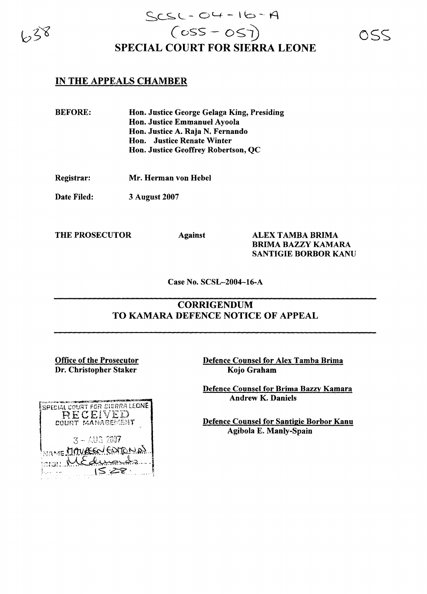

## $SCSC$  -  $O4$  -  $16$  - A  $(655 - 057)$ SPECIAL COURT FOR SIERRA LEONE

## IN THE APPEALS CHAMBER

BEFORE: Hon. Justice George Gelaga King, Presiding Hon. Justice Emmanuel Ayoola Hon. Justice A. Raja N. Fernando Hon. Justice Renate Winter Hon. Justice Geoffrey Robertson, QC

Registrar: Mr. Herman von Hebel

Date Filed: 3 August 2007

THE PROSECUTOR Against ALEX TAMBA BRIMA BRIMA BAZZY KAMARA SANTIGIE BORBOR KANU

Case No. SCSL-2004-16-A

## **CORRIGENDUM** TO KAMARA DEFENCE NOTICE OF APPEAL

Office of the Prosecutor Dr. Christopher Staker

Defence Counsel for Alex Tamba Brima Kojo Graham

Defence Counsel for Brima Bazry Kamara Andrew K. Daniels

Defence Counsel for Santigie Borbor Kanu Agibola E. Manly-Spain

|      | しゅうかい あいこうかい アンス かいこく たいこうてき とうかい<br>SPECIAL COURT FOR SIERRA LEONE<br>RECEIVED<br>COURT MANAGEMENT |
|------|-----------------------------------------------------------------------------------------------------|
|      | $3 - \triangle 13.2007$<br>MAME MAVREEN EDITON DI                                                   |
| stan | ME durand<br>$S \mathcal{Z}$                                                                        |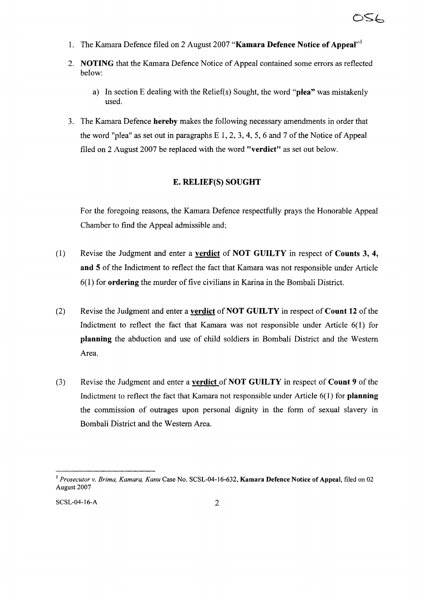- 1. The Kamara Defence filed on 2 August 2007 "Kamara Defence Notice of Appeal"
- 2. NOTING that the Kamara Defence Notice of Appeal contained some errors as reflected below:
	- a) In section E dealing with the Relief(s) Sought, the word "plea" was mistakenly used.
- 3. The Kamara Defence hereby makes the following necessary amendments in order that the word "plea" as set out in paragraphs  $E_1$ , 2, 3, 4, 5, 6 and 7 of the Notice of Appeal filed on 2 August 2007 be replaced with the word "verdict" as set out below.

## E. RELIEF(S) SOUGHT

For the foregoing reasons, the Kamara Defence respectfully prays the Honorable Appeal Chamber to find the Appeal admissible and;

- (1) Revise the Judgment and enter a verdict of NOT GUILTY in respect of Counts 3, 4, and 5 of the Indictment to reflect the fact that Kamara was not responsible under Article  $6(1)$  for **ordering** the murder of five civilians in Karina in the Bombali District.
- (2) Revise the Judgment and enter a **verdict** of **NOT GUILTY** in respect of **Count 12** of the Indictment to reflect the fact that Kamara was not responsible under Article 6(1) for planning the abduction and use of child soldiers in Bombali District and the Western Area.
- (3) Revise the Judgment and enter a verdict of NOT GUILTY in respect of Count 9 of the Indictment to reflect the fact that Kamara not responsible under Article  $6(1)$  for planning the commission of outrages upon personal dignity in the form of sexual slavery in Bombali District and the Western Area.

<sup>&</sup>lt;sup>1</sup> Prosecutor v. Brima, Kamara, Kanu Case No. SCSL-04-16-632, Kamara Defence Notice of Appeal, filed on 02 August 2007